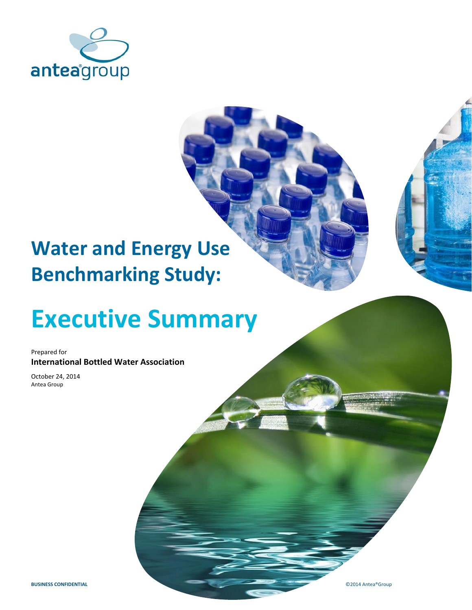

## **Water and Energy Use Benchmarking Study:**

# **Executive Summary**

Prepared for **International Bottled Water Association**

October 24, 2014 Antea Group

**BUSINESS CONFIDENTIAL C** 2014 Antea®Group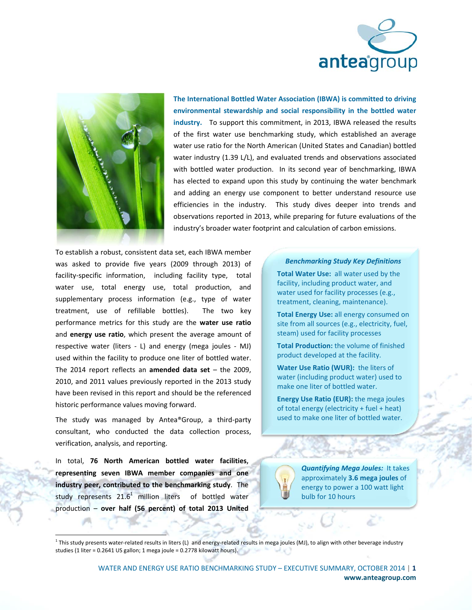



**The International Bottled Water Association (IBWA) is committed to driving environmental stewardship and social responsibility in the bottled water** industry. To support this commitment, in 2013, IBWA released the results of the first water use benchmarking study, which established an average water use ratio for the North American (United States and Canadian) bottled water industry (1.39 L/L), and evaluated trends and observations associated with bottled water production. In its second year of benchmarking, IBWA has elected to expand upon this study by continuing the water benchmark and adding an energy use component to better understand resource use efficiencies in the industry. This study dives deeper into trends and observations reported in 2013, while preparing for future evaluations of the industry's broader water footprint and calculation of carbon emissions.

To establish a robust, consistent data set, each IBWA member was asked to provide five years (2009 through 2013) of facility-specific information, including facility type, total water use, total energy use, total production, and supplementary process information (e.g., type of water treatment, use of refillable bottles). The two key performance metrics for this study are the **water use ratio** and **energy use ratio**, which present the average amount of respective water (liters - L) and energy (mega joules - MJ) used within the facility to produce one liter of bottled water. The 2014 report reflects an **amended data set** – the 2009, 2010, and 2011 values previously reported in the 2013 study have been revised in this report and should be the referenced historic performance values moving forward.

The study was managed by Antea®Group, a third‐party consultant, who conducted the data collection process, verification, analysis, and reporting.

In total, **76 North American bottled water facilities**, **representing seven IBWA member companies and one industry peer, contributed to the benchmarking study**. The study represents  $21.6<sup>1</sup>$  million liters of bottled water production – **over half (56 percent) of total 2013 United**

 

#### *Benchmarking Study Key Definitions*

**Total Water Use:** all water used by the facility, including product water, and water used for facility processes (e.g., treatment, cleaning, maintenance).

**Total Energy Use:** all energy consumed on site from all sources (e.g., electricity, fuel, steam) used for facility processes

**Total Production:** the volume of finished product developed at the facility.

**Water Use Ratio (WUR):** the liters of water (including product water) used to make one liter of bottled water.

**Energy Use Ratio (EUR):** the mega joules of total energy (electricity + fuel + heat) used to make one liter of bottled water.



*Quantifying Mega Joules:*It takes approximately **3.6 mega joules** of energy to power a 100 watt light bulb for 10 hours

 $1$  This study presents water-related results in liters (L) and energy-related results in mega joules (MJ), to align with other beverage industry studies (1 liter = 0.2641 US gallon; 1 mega joule = 0.2778 kilowatt hours).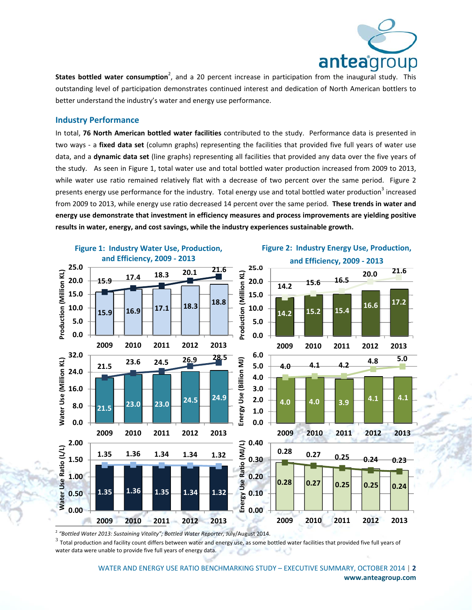

**States bottled water consumption<sup>2</sup>,** and a 20 percent increase in participation from the inaugural study. This outstanding level of participation demonstrates continued interest and dedication of North American bottlers to better understand the industry's water and energy use performance.

#### **Industry Performance**

In total, **76 North American bottled water facilities** contributed to the study. Performance data is presented in two ways ‐ a **fixed data set** (column graphs) representing the facilities that provided five full years of water use data, and a **dynamic data set** (line graphs) representing all facilities that provided any data over the five years of the study. As seen in Figure 1, total water use and total bottled water production increased from 2009 to 2013, while water use ratio remained relatively flat with a decrease of two percent over the same period. Figure 2 presents energy use performance for the industry. Total energy use and total bottled water production<sup>3</sup> increased from 2009 to 2013, while energy use ratio decreased 14 percent over the same period. **These trends in water and energy use demonstrate that investment in efficiency measures and process improvements are yielding positive results in water, energy, and cost savings, while the industry experiences sustainable growth.**



 $\frac{2}{3}$  "Bottled Water 2013: Sustaining Vitality"; Bottled Water Reporter, July/August 2014.<br> $\frac{2}{3}$  Total production and facility count differs between water and energy use, as some bottled water facilities that prov water data were unable to provide five full years of energy data.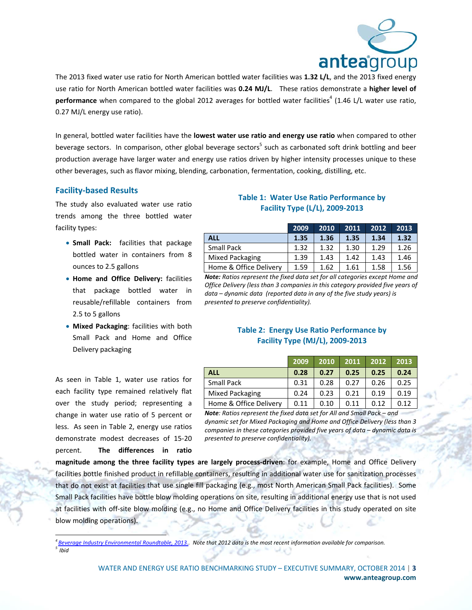

The 2013 fixed water use ratio for North American bottled water facilities was **1.32 L/L**, and the 2013 fixed energy use ratio for North American bottled water facilities was **0.24 MJ/L**. These ratios demonstrate a **higher level of** performance when compared to the global 2012 averages for bottled water facilities<sup>4</sup> (1.46 L/L water use ratio, 0.27 MJ/L energy use ratio).

In general, bottled water facilities have the **lowest water use ratio and energy use ratio** when compared to other beverage sectors. In comparison, other global beverage sectors<sup>5</sup> such as carbonated soft drink bottling and beer production average have larger water and energy use ratios driven by higher intensity processes unique to these other beverages, such as flavor mixing, blending, carbonation, fermentation, cooking, distilling, etc.

#### **Facility‐based Results**

The study also evaluated water use ratio trends among the three bottled water facility types:

- **Small Pack:** facilities that package bottled water in containers from 8 ounces to 2.5 gallons
- **Home and Office Delivery:** facilities that package bottled water in reusable/refillable containers from 2.5 to 5 gallons
- **Mixed Packaging**: facilities with both Small Pack and Home and Office Delivery packaging

As seen in Table 1, water use ratios for each facility type remained relatively flat over the study period; representing a change in water use ratio of 5 percent or less. As seen in Table 2, energy use ratios demonstrate modest decreases of 15‐20 percent. **The differences in ratio**

 

#### **Table 1: Water Use Ratio Performance by Facility Type (L/L), 2009‐2013**

|                        | 2009 | 2010 | 2011 | 2012 | 2013 |
|------------------------|------|------|------|------|------|
| <b>ALL</b>             | 1.35 | 1.36 | 1.35 | 1.34 | 1.32 |
| <b>Small Pack</b>      | 1.32 | 1.32 | 1.30 | 1.29 | 1.26 |
| <b>Mixed Packaging</b> | 1.39 | 1.43 | 1.42 | 1.43 | 1.46 |
| Home & Office Delivery | 1.59 | 1.62 | 1.61 | 1.58 | 1.56 |

*Note: Ratios represent the fixed data set for all categories except Home and Office Delivery (less than 3 companies in this category provided five years of data – dynamic data (reported data in any of the five study years) is presented to preserve confidentiality).*

#### **Table 2: Energy Use Ratio Performance by Facility Type (MJ/L), 2009‐2013**

|                        | 2009 | 2010 | 2011 | 2012 | 2013 |
|------------------------|------|------|------|------|------|
| <b>ALL</b>             | 0.28 | 0.27 | 0.25 | 0.25 | 0.24 |
| <b>Small Pack</b>      | 0.31 | 0.28 | 0.27 | 0.26 | 0.25 |
| Mixed Packaging        | 0.24 | 0.23 | 0.21 | 0.19 | 0.19 |
| Home & Office Delivery | 0.11 | 0.10 | 0.11 | 0.12 | 0.12 |

*Note: Ratios represent the fixed data set for All and Small Pack – and dynamic set for Mixed Packaging and Home and Office Delivery (less than 3 companies in these categories provided five years of data – dynamic data is presented to preserve confidentiality).*

**magnitude among the three facility types are largely process‐driven**: for example, Home and Office Delivery facilities bottle finished product in refillable containers, resulting in additional water use for sanitization processes that do not exist at facilities that use single fill packaging (e.g., most North American Small Pack facilities). Some Small Pack facilities have bottle blow molding operations on site, resulting in additional energy use that is not used at facilities with off-site blow molding (e.g., no Home and Office Delivery facilities in this study operated on site blow molding operations).

<sup>&</sup>lt;sup>4</sup> Beverage Industry Environmental Roundtable, 2013. Note that 2012 data is the most recent information available for comparison.  $5\overline{I}$ *Ibid*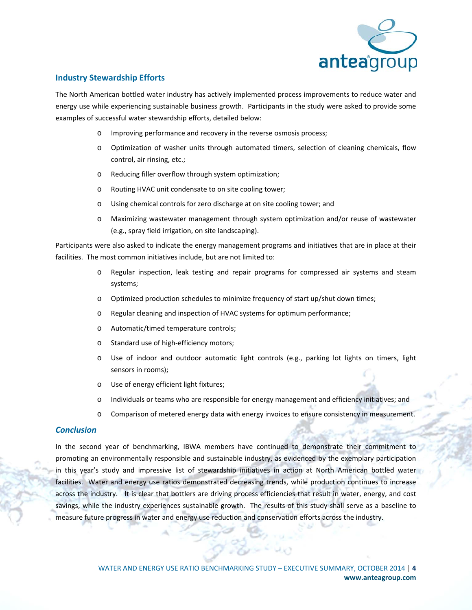

#### **Industry Stewardship Efforts**

The North American bottled water industry has actively implemented process improvements to reduce water and energy use while experiencing sustainable business growth. Participants in the study were asked to provide some examples of successful water stewardship efforts, detailed below:

- o Improving performance and recovery in the reverse osmosis process;
- o Optimization of washer units through automated timers, selection of cleaning chemicals, flow control, air rinsing, etc.;
- o Reducing filler overflow through system optimization;
- o Routing HVAC unit condensate to on site cooling tower;
- o Using chemical controls for zero discharge at on site cooling tower; and
- o Maximizing wastewater management through system optimization and/or reuse of wastewater (e.g., spray field irrigation, on site landscaping).

Participants were also asked to indicate the energy management programs and initiatives that are in place at their facilities. The most common initiatives include, but are not limited to:

- o Regular inspection, leak testing and repair programs for compressed air systems and steam systems;
- o Optimized production schedules to minimize frequency of start up/shut down times;
- o Regular cleaning and inspection of HVAC systems for optimum performance;
- o Automatic/timed temperature controls;
- o Standard use of high‐efficiency motors;
- o Use of indoor and outdoor automatic light controls (e.g., parking lot lights on timers, light sensors in rooms);
- o Use of energy efficient light fixtures;
- o Individuals or teams who are responsible for energy management and efficiency initiatives; and
- o Comparison of metered energy data with energy invoices to ensure consistency in measurement.

#### *Conclusion*

In the second year of benchmarking, IBWA members have continued to demonstrate their commitment to promoting an environmentally responsible and sustainable industry, as evidenced by the exemplary participation in this year's study and impressive list of stewardship initiatives in action at North American bottled water facilities. Water and energy use ratios demonstrated decreasing trends, while production continues to increase across the industry. It is clear that bottlers are driving process efficiencies that result in water, energy, and cost savings, while the industry experiences sustainable growth. The results of this study shall serve as a baseline to measure future progress in water and energy use reduction and conservation efforts across the industry.